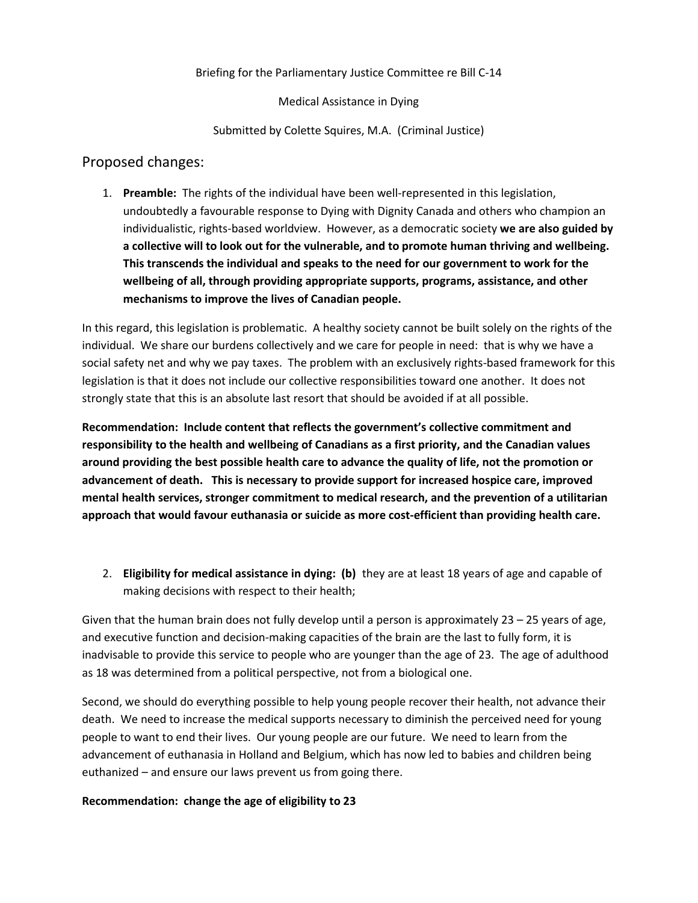## Briefing for the Parliamentary Justice Committee re Bill C-14

Medical Assistance in Dying

Submitted by Colette Squires, M.A. (Criminal Justice)

# Proposed changes:

1. **Preamble:** The rights of the individual have been well-represented in this legislation, undoubtedly a favourable response to Dying with Dignity Canada and others who champion an individualistic, rights-based worldview. However, as a democratic society **we are also guided by a collective will to look out for the vulnerable, and to promote human thriving and wellbeing. This transcends the individual and speaks to the need for our government to work for the wellbeing of all, through providing appropriate supports, programs, assistance, and other mechanisms to improve the lives of Canadian people.**

In this regard, this legislation is problematic. A healthy society cannot be built solely on the rights of the individual. We share our burdens collectively and we care for people in need: that is why we have a social safety net and why we pay taxes. The problem with an exclusively rights-based framework for this legislation is that it does not include our collective responsibilities toward one another. It does not strongly state that this is an absolute last resort that should be avoided if at all possible.

**Recommendation: Include content that reflects the government's collective commitment and responsibility to the health and wellbeing of Canadians as a first priority, and the Canadian values around providing the best possible health care to advance the quality of life, not the promotion or advancement of death. This is necessary to provide support for increased hospice care, improved mental health services, stronger commitment to medical research, and the prevention of a utilitarian approach that would favour euthanasia or suicide as more cost-efficient than providing health care.** 

2. **Eligibility for medical assistance in dying: (b)** they are at least 18 years of age and capable of making decisions with respect to their health;

Given that the human brain does not fully develop until a person is approximately 23 – 25 years of age, and executive function and decision-making capacities of the brain are the last to fully form, it is inadvisable to provide this service to people who are younger than the age of 23. The age of adulthood as 18 was determined from a political perspective, not from a biological one.

Second, we should do everything possible to help young people recover their health, not advance their death. We need to increase the medical supports necessary to diminish the perceived need for young people to want to end their lives. Our young people are our future. We need to learn from the advancement of euthanasia in Holland and Belgium, which has now led to babies and children being euthanized – and ensure our laws prevent us from going there.

#### **Recommendation: change the age of eligibility to 23**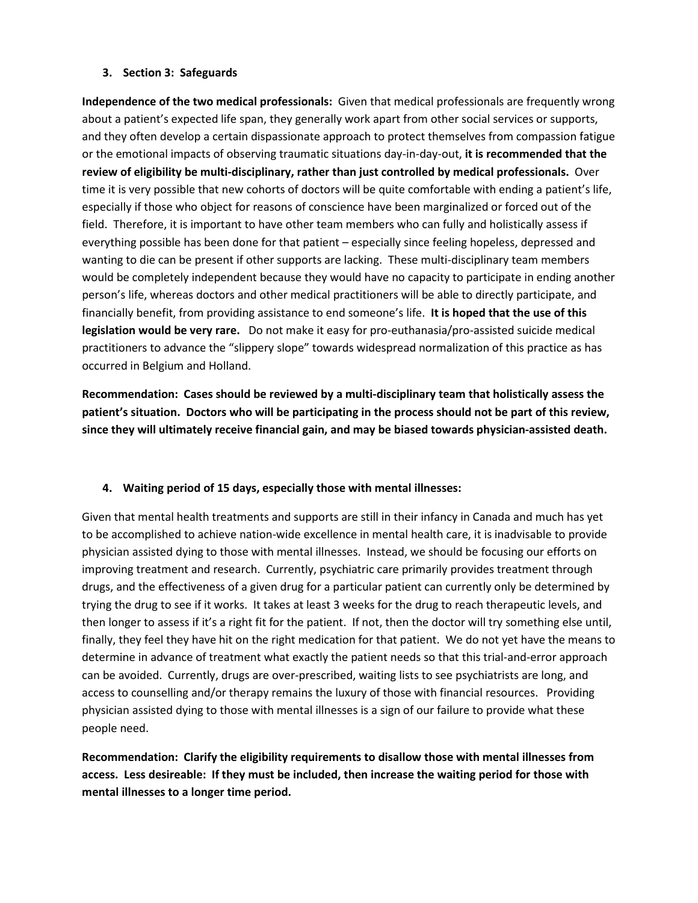#### **3. Section 3: Safeguards**

**Independence of the two medical professionals:** Given that medical professionals are frequently wrong about a patient's expected life span, they generally work apart from other social services or supports, and they often develop a certain dispassionate approach to protect themselves from compassion fatigue or the emotional impacts of observing traumatic situations day-in-day-out, **it is recommended that the review of eligibility be multi-disciplinary, rather than just controlled by medical professionals.** Over time it is very possible that new cohorts of doctors will be quite comfortable with ending a patient's life, especially if those who object for reasons of conscience have been marginalized or forced out of the field. Therefore, it is important to have other team members who can fully and holistically assess if everything possible has been done for that patient – especially since feeling hopeless, depressed and wanting to die can be present if other supports are lacking. These multi-disciplinary team members would be completely independent because they would have no capacity to participate in ending another person's life, whereas doctors and other medical practitioners will be able to directly participate, and financially benefit, from providing assistance to end someone's life. **It is hoped that the use of this legislation would be very rare.** Do not make it easy for pro-euthanasia/pro-assisted suicide medical practitioners to advance the "slippery slope" towards widespread normalization of this practice as has occurred in Belgium and Holland.

**Recommendation: Cases should be reviewed by a multi-disciplinary team that holistically assess the patient's situation. Doctors who will be participating in the process should not be part of this review, since they will ultimately receive financial gain, and may be biased towards physician-assisted death.** 

#### **4. Waiting period of 15 days, especially those with mental illnesses:**

Given that mental health treatments and supports are still in their infancy in Canada and much has yet to be accomplished to achieve nation-wide excellence in mental health care, it is inadvisable to provide physician assisted dying to those with mental illnesses. Instead, we should be focusing our efforts on improving treatment and research. Currently, psychiatric care primarily provides treatment through drugs, and the effectiveness of a given drug for a particular patient can currently only be determined by trying the drug to see if it works. It takes at least 3 weeks for the drug to reach therapeutic levels, and then longer to assess if it's a right fit for the patient. If not, then the doctor will try something else until, finally, they feel they have hit on the right medication for that patient. We do not yet have the means to determine in advance of treatment what exactly the patient needs so that this trial-and-error approach can be avoided. Currently, drugs are over-prescribed, waiting lists to see psychiatrists are long, and access to counselling and/or therapy remains the luxury of those with financial resources. Providing physician assisted dying to those with mental illnesses is a sign of our failure to provide what these people need.

**Recommendation: Clarify the eligibility requirements to disallow those with mental illnesses from access. Less desireable: If they must be included, then increase the waiting period for those with mental illnesses to a longer time period.**